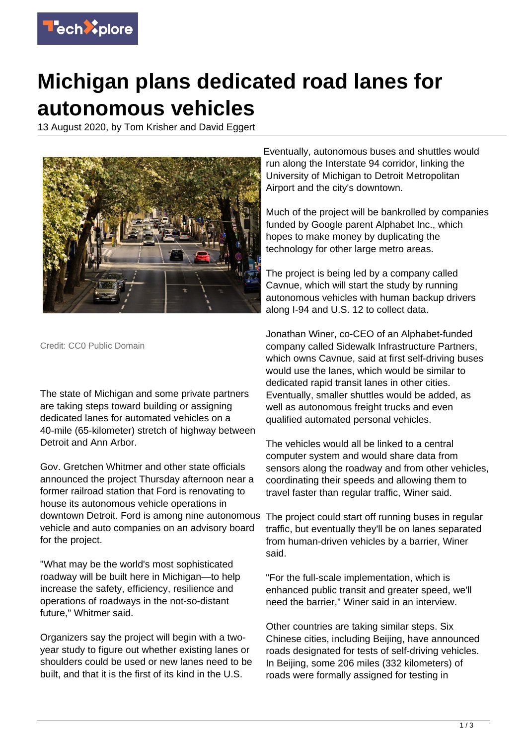

## **Michigan plans dedicated road lanes for autonomous vehicles**

13 August 2020, by Tom Krisher and David Eggert



Credit: CC0 Public Domain

The state of Michigan and some private partners are taking steps toward building or assigning dedicated lanes for automated vehicles on a 40-mile (65-kilometer) stretch of highway between Detroit and Ann Arbor.

Gov. Gretchen Whitmer and other state officials announced the project Thursday afternoon near a former railroad station that Ford is renovating to house its autonomous vehicle operations in downtown Detroit. Ford is among nine autonomous vehicle and auto companies on an advisory board for the project.

"What may be the world's most sophisticated roadway will be built here in Michigan—to help increase the safety, efficiency, resilience and operations of roadways in the not-so-distant future," Whitmer said.

Organizers say the project will begin with a twoyear study to figure out whether existing lanes or shoulders could be used or new lanes need to be built, and that it is the first of its kind in the U.S.

Eventually, autonomous buses and shuttles would run along the Interstate 94 corridor, linking the University of Michigan to Detroit Metropolitan Airport and the city's downtown.

Much of the project will be bankrolled by companies funded by Google parent Alphabet Inc., which hopes to make money by duplicating the technology for other large metro areas.

The project is being led by a company called Cavnue, which will start the study by running autonomous vehicles with human backup drivers along I-94 and U.S. 12 to collect data.

Jonathan Winer, co-CEO of an Alphabet-funded company called Sidewalk Infrastructure Partners, which owns Cavnue, said at first self-driving buses would use the lanes, which would be similar to dedicated rapid transit lanes in other cities. Eventually, smaller shuttles would be added, as well as autonomous freight trucks and even qualified automated personal vehicles.

The vehicles would all be linked to a central computer system and would share data from sensors along the roadway and from other vehicles, coordinating their speeds and allowing them to travel faster than regular traffic, Winer said.

The project could start off running buses in regular traffic, but eventually they'll be on lanes separated from human-driven vehicles by a barrier, Winer said.

"For the full-scale implementation, which is enhanced public transit and greater speed, we'll need the barrier," Winer said in an interview.

Other countries are taking similar steps. Six Chinese cities, including Beijing, have announced roads designated for tests of self-driving vehicles. In Beijing, some 206 miles (332 kilometers) of roads were formally assigned for testing in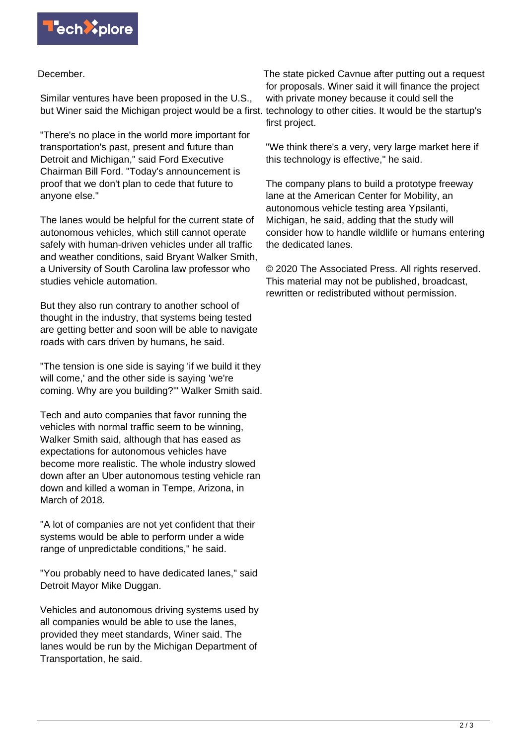

December.

Similar ventures have been proposed in the U.S., but Winer said the Michigan project would be a first. technology to other cities. It would be the startup's

"There's no place in the world more important for transportation's past, present and future than Detroit and Michigan," said Ford Executive Chairman Bill Ford. "Today's announcement is proof that we don't plan to cede that future to anyone else."

The lanes would be helpful for the current state of autonomous vehicles, which still cannot operate safely with human-driven vehicles under all traffic and weather conditions, said Bryant Walker Smith, a University of South Carolina law professor who studies vehicle automation.

But they also run contrary to another school of thought in the industry, that systems being tested are getting better and soon will be able to navigate roads with cars driven by humans, he said.

"The tension is one side is saying 'if we build it they will come,' and the other side is saying 'we're coming. Why are you building?'" Walker Smith said.

Tech and auto companies that favor running the vehicles with normal traffic seem to be winning, Walker Smith said, although that has eased as expectations for autonomous vehicles have become more realistic. The whole industry slowed down after an Uber autonomous testing vehicle ran down and killed a woman in Tempe, Arizona, in March of 2018.

"A lot of companies are not yet confident that their systems would be able to perform under a wide range of unpredictable conditions," he said.

"You probably need to have dedicated lanes," said Detroit Mayor Mike Duggan.

Vehicles and autonomous driving systems used by all companies would be able to use the lanes, provided they meet standards, Winer said. The lanes would be run by the Michigan Department of Transportation, he said.

The state picked Cavnue after putting out a request for proposals. Winer said it will finance the project with private money because it could sell the first project.

"We think there's a very, very large market here if this technology is effective," he said.

The company plans to build a prototype freeway lane at the American Center for Mobility, an autonomous vehicle testing area Ypsilanti, Michigan, he said, adding that the study will consider how to handle wildlife or humans entering the dedicated lanes.

© 2020 The Associated Press. All rights reserved. This material may not be published, broadcast, rewritten or redistributed without permission.